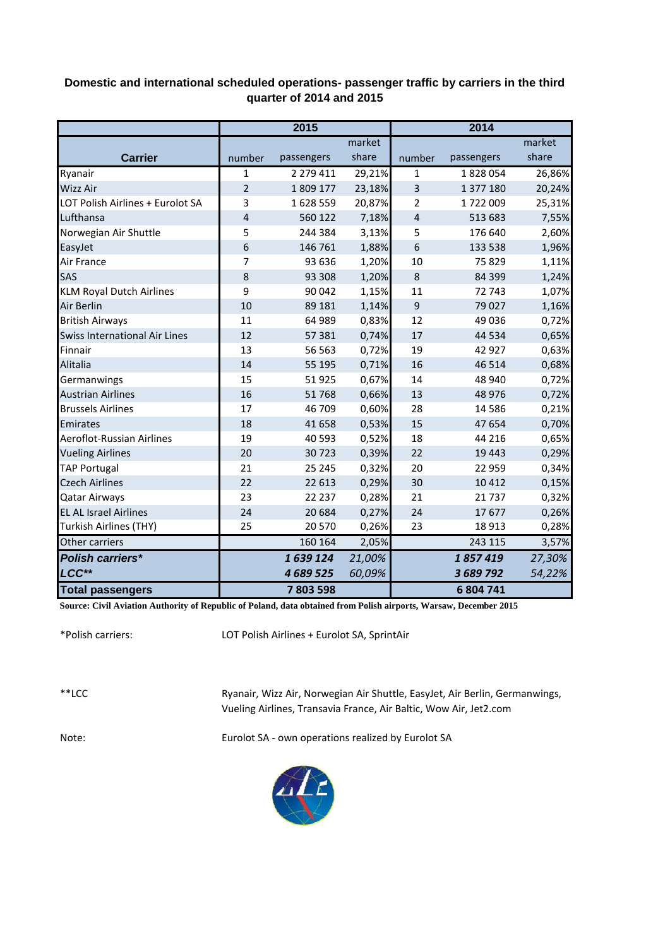## **Domestic and international scheduled operations- passenger traffic by carriers in the third quarter of 2014 and 2015**

|                                      | 2015           |            |        | 2014                    |            |        |
|--------------------------------------|----------------|------------|--------|-------------------------|------------|--------|
|                                      |                |            | market |                         |            | market |
| <b>Carrier</b>                       | number         | passengers | share  | number                  | passengers | share  |
| Ryanair                              | $\mathbf{1}$   | 2 279 411  | 29,21% | 1                       | 1828054    | 26,86% |
| <b>Wizz Air</b>                      | $\overline{2}$ | 1809177    | 23,18% | $\overline{\mathbf{3}}$ | 1 377 180  | 20,24% |
| LOT Polish Airlines + Eurolot SA     | 3              | 1628559    | 20,87% | 2                       | 1722009    | 25,31% |
| Lufthansa                            | 4              | 560 122    | 7,18%  | $\overline{4}$          | 513 683    | 7,55%  |
| Norwegian Air Shuttle                | 5              | 244 384    | 3,13%  | 5                       | 176 640    | 2,60%  |
| EasyJet                              | 6              | 146 761    | 1,88%  | 6                       | 133 538    | 1,96%  |
| Air France                           | 7              | 93 636     | 1,20%  | 10                      | 75829      | 1,11%  |
| SAS                                  | 8              | 93 308     | 1,20%  | 8                       | 84 3 99    | 1,24%  |
| <b>KLM Royal Dutch Airlines</b>      | 9              | 90 042     | 1,15%  | 11                      | 72743      | 1,07%  |
| Air Berlin                           | 10             | 89 181     | 1,14%  | 9                       | 79027      | 1,16%  |
| <b>British Airways</b>               | 11             | 64 989     | 0,83%  | 12                      | 49 0 36    | 0,72%  |
| <b>Swiss International Air Lines</b> | 12             | 57 381     | 0,74%  | 17                      | 44 5 34    | 0,65%  |
| Finnair                              | 13             | 56 5 63    | 0,72%  | 19                      | 42 927     | 0,63%  |
| Alitalia                             | 14             | 55 195     | 0,71%  | 16                      | 46 5 14    | 0,68%  |
| Germanwings                          | 15             | 51925      | 0,67%  | 14                      | 48 940     | 0,72%  |
| <b>Austrian Airlines</b>             | 16             | 51768      | 0,66%  | 13                      | 48 976     | 0,72%  |
| <b>Brussels Airlines</b>             | 17             | 46 709     | 0,60%  | 28                      | 14 5 8 6   | 0,21%  |
| Emirates                             | 18             | 41 658     | 0,53%  | 15                      | 47 654     | 0,70%  |
| Aeroflot-Russian Airlines            | 19             | 40 5 93    | 0,52%  | 18                      | 44 216     | 0,65%  |
| <b>Vueling Airlines</b>              | 20             | 30723      | 0,39%  | 22                      | 19 4 43    | 0,29%  |
| <b>TAP Portugal</b>                  | 21             | 25 245     | 0,32%  | 20                      | 22 959     | 0,34%  |
| <b>Czech Airlines</b>                | 22             | 22 613     | 0,29%  | 30                      | 10 4 12    | 0,15%  |
| <b>Qatar Airways</b>                 | 23             | 22 2 3 7   | 0,28%  | 21                      | 21737      | 0,32%  |
| <b>EL AL Israel Airlines</b>         | 24             | 20 6 84    | 0,27%  | 24                      | 17677      | 0,26%  |
| Turkish Airlines (THY)               | 25             | 20 5 70    | 0,26%  | 23                      | 18 9 13    | 0,28%  |
| Other carriers                       |                | 160 164    | 2,05%  |                         | 243 115    | 3,57%  |
| <b>Polish carriers*</b>              |                | 1639124    | 21,00% |                         | 1857419    | 27,30% |
| LCC**                                |                | 4 689 525  | 60,09% |                         | 3 689 792  | 54,22% |
| <b>Total passengers</b>              |                | 7803598    |        |                         | 6 804 741  |        |

**Source: Civil Aviation Authority of Republic of Poland, data obtained from Polish airports, Warsaw, December 2015**

\*Polish carriers:

LOT Polish Airlines + Eurolot SA, SprintAir

\*\*LCC

Ryanair, Wizz Air, Norwegian Air Shuttle, EasyJet, Air Berlin, Germanwings, Vueling Airlines, Transavia France, Air Baltic, Wow Air, Jet2.com

Note: Eurolot SA - own operations realized by Eurolot SA